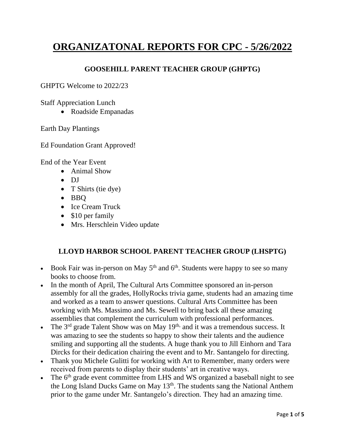# **ORGANIZATONAL REPORTS FOR CPC - 5/26/2022**

## **GOOSEHILL PARENT TEACHER GROUP (GHPTG)**

GHPTG Welcome to 2022/23

Staff Appreciation Lunch

• Roadside Empanadas

Earth Day Plantings

Ed Foundation Grant Approved!

End of the Year Event

- Animal Show
- DJ
- T Shirts (tie dye)
- BBQ
- Ice Cream Truck
- \$10 per family
- Mrs. Herschlein Video update

#### **LLOYD HARBOR SCHOOL PARENT TEACHER GROUP (LHSPTG)**

- Book Fair was in-person on May  $5<sup>th</sup>$  and  $6<sup>th</sup>$ . Students were happy to see so many books to choose from.
- In the month of April, The Cultural Arts Committee sponsored an in-person assembly for all the grades, HollyRocks trivia game, students had an amazing time and worked as a team to answer questions. Cultural Arts Committee has been working with Ms. Massimo and Ms. Sewell to bring back all these amazing assemblies that complement the curriculum with professional performances.
- The 3<sup>rd</sup> grade Talent Show was on May 19<sup>th,</sup> and it was a tremendous success. It was amazing to see the students so happy to show their talents and the audience smiling and supporting all the students. A huge thank you to Jill Einhorn and Tara Dircks for their dedication chairing the event and to Mr. Santangelo for directing.
- Thank you Michele Gulitti for working with Art to Remember, many orders were received from parents to display their students' art in creative ways.
- The 6<sup>th</sup> grade event committee from LHS and WS organized a baseball night to see the Long Island Ducks Game on May 13<sup>th</sup>. The students sang the National Anthem prior to the game under Mr. Santangelo's direction. They had an amazing time.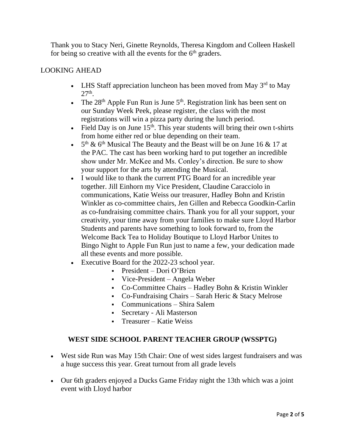Thank you to Stacy Neri, Ginette Reynolds, Theresa Kingdom and Colleen Haskell for being so creative with all the events for the  $6<sup>th</sup>$  graders.

## LOOKING AHEAD

- LHS Staff appreciation luncheon has been moved from May  $3<sup>rd</sup>$  to May  $27<sup>th</sup>$ .
- The  $28<sup>th</sup>$  Apple Fun Run is June  $5<sup>th</sup>$ . Registration link has been sent on our Sunday Week Peek, please register, the class with the most registrations will win a pizza party during the lunch period.
- Field Day is on June  $15<sup>th</sup>$ . This year students will bring their own t-shirts from home either red or blue depending on their team.
- $5<sup>th</sup>$  & 6<sup>th</sup> Musical The Beauty and the Beast will be on June 16 & 17 at the PAC. The cast has been working hard to put together an incredible show under Mr. McKee and Ms. Conley's direction. Be sure to show your support for the arts by attending the Musical.
- I would like to thank the current PTG Board for an incredible year together. Jill Einhorn my Vice President, Claudine Caracciolo in communications, Katie Weiss our treasurer, Hadley Bohn and Kristin Winkler as co-committee chairs, Jen Gillen and Rebecca Goodkin-Carlin as co-fundraising committee chairs. Thank you for all your support, your creativity, your time away from your families to make sure Lloyd Harbor Students and parents have something to look forward to, from the Welcome Back Tea to Holiday Boutique to Lloyd Harbor Unites to Bingo Night to Apple Fun Run just to name a few, your dedication made all these events and more possible.
- Executive Board for the 2022-23 school year.
	- $\blacksquare$  President Dori O'Brien
	- Vice-President Angela Weber
	- Co-Committee Chairs Hadley Bohn & Kristin Winkler
	- $\text{-}$  Co-Fundraising Chairs Sarah Heric & Stacy Melrose
	- Communications Shira Salem
	- Secretary Ali Masterson
	- Treasurer Katie Weiss

# **WEST SIDE SCHOOL PARENT TEACHER GROUP (WSSPTG)**

- West side Run was May 15th Chair: One of west sides largest fundraisers and was a huge success this year. Great turnout from all grade levels
- Our 6th graders enjoyed a Ducks Game Friday night the 13th which was a joint event with Lloyd harbor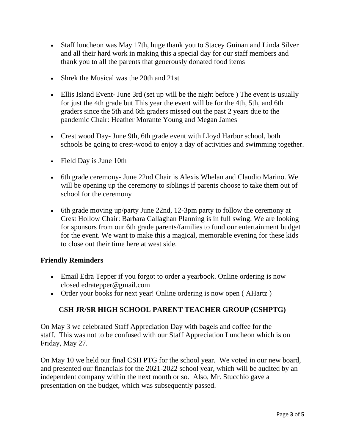- Staff luncheon was May 17th, huge thank you to Stacey Guinan and Linda Silver and all their hard work in making this a special day for our staff members and thank you to all the parents that generously donated food items
- Shrek the Musical was the 20th and 21st
- Ellis Island Event- June 3rd (set up will be the night before) The event is usually for just the 4th grade but This year the event will be for the 4th, 5th, and 6th graders since the 5th and 6th graders missed out the past 2 years due to the pandemic Chair: Heather Morante Young and Megan James
- Crest wood Day- June 9th, 6th grade event with Lloyd Harbor school, both schools be going to crest-wood to enjoy a day of activities and swimming together.
- Field Day is June 10th
- 6th grade ceremony- June 22nd Chair is Alexis Whelan and Claudio Marino. We will be opening up the ceremony to siblings if parents choose to take them out of school for the ceremony
- 6th grade moving up/party June 22nd, 12-3pm party to follow the ceremony at Crest Hollow Chair: Barbara Callaghan Planning is in full swing. We are looking for sponsors from our 6th grade parents/families to fund our entertainment budget for the event. We want to make this a magical, memorable evening for these kids to close out their time here at west side.

## **Friendly Reminders**

- Email Edra Tepper if you forgot to order a yearbook. Online ordering is now closed edratepper@gmail.com
- Order your books for next year! Online ordering is now open (AHartz)

# **CSH JR/SR HIGH SCHOOL PARENT TEACHER GROUP (CSHPTG)**

On May 3 we celebrated Staff Appreciation Day with bagels and coffee for the staff. This was not to be confused with our Staff Appreciation Luncheon which is on Friday, May 27.

On May 10 we held our final CSH PTG for the school year. We voted in our new board, and presented our financials for the 2021-2022 school year, which will be audited by an independent company within the next month or so. Also, Mr. Stucchio gave a presentation on the budget, which was subsequently passed.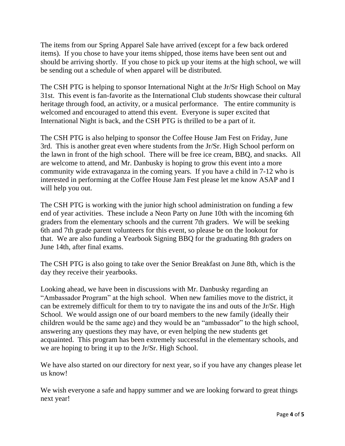The items from our Spring Apparel Sale have arrived (except for a few back ordered items). If you chose to have your items shipped, those items have been sent out and should be arriving shortly. If you chose to pick up your items at the high school, we will be sending out a schedule of when apparel will be distributed.

The CSH PTG is helping to sponsor International Night at the Jr/Sr High School on May 31st. This event is fan-favorite as the International Club students showcase their cultural heritage through food, an activity, or a musical performance. The entire community is welcomed and encouraged to attend this event. Everyone is super excited that International Night is back, and the CSH PTG is thrilled to be a part of it.

The CSH PTG is also helping to sponsor the Coffee House Jam Fest on Friday, June 3rd. This is another great even where students from the Jr/Sr. High School perform on the lawn in front of the high school. There will be free ice cream, BBQ, and snacks. All are welcome to attend, and Mr. Danbusky is hoping to grow this event into a more community wide extravaganza in the coming years. If you have a child in 7-12 who is interested in performing at the Coffee House Jam Fest please let me know ASAP and I will help you out.

The CSH PTG is working with the junior high school administration on funding a few end of year activities. These include a Neon Party on June 10th with the incoming 6th graders from the elementary schools and the current 7th graders. We will be seeking 6th and 7th grade parent volunteers for this event, so please be on the lookout for that. We are also funding a Yearbook Signing BBQ for the graduating 8th graders on June 14th, after final exams.

The CSH PTG is also going to take over the Senior Breakfast on June 8th, which is the day they receive their yearbooks.

Looking ahead, we have been in discussions with Mr. Danbusky regarding an "Ambassador Program" at the high school. When new families move to the district, it can be extremely difficult for them to try to navigate the ins and outs of the Jr/Sr. High School. We would assign one of our board members to the new family (ideally their children would be the same age) and they would be an "ambassador" to the high school, answering any questions they may have, or even helping the new students get acquainted. This program has been extremely successful in the elementary schools, and we are hoping to bring it up to the Jr/Sr. High School.

We have also started on our directory for next year, so if you have any changes please let us know!

We wish everyone a safe and happy summer and we are looking forward to great things next year!